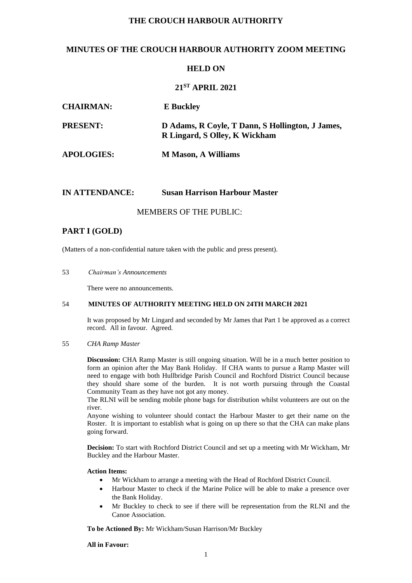# **THE CROUCH HARBOUR AUTHORITY**

# **MINUTES OF THE CROUCH HARBOUR AUTHORITY ZOOM MEETING**

## **HELD ON**

# **21 ST APRIL 2021**

| <b>CHAIRMAN:</b>  | <b>E</b> Buckley                                                                  |
|-------------------|-----------------------------------------------------------------------------------|
| <b>PRESENT:</b>   | D Adams, R Coyle, T Dann, S Hollington, J James,<br>R Lingard, S Olley, K Wickham |
| <b>APOLOGIES:</b> | <b>M</b> Mason, A Williams                                                        |

## **IN ATTENDANCE: Susan Harrison Harbour Master**

MEMBERS OF THE PUBLIC:

# **PART I (GOLD)**

(Matters of a non-confidential nature taken with the public and press present).

## 53 *Chairman's Announcements*

There were no announcements.

## 54 **MINUTES OF AUTHORITY MEETING HELD ON 24TH MARCH 2021**

It was proposed by Mr Lingard and seconded by Mr James that Part 1 be approved as a correct record. All in favour. Agreed.

## 55 *CHA Ramp Master*

**Discussion:** CHA Ramp Master is still ongoing situation. Will be in a much better position to form an opinion after the May Bank Holiday. If CHA wants to pursue a Ramp Master will need to engage with both Hullbridge Parish Council and Rochford District Council because they should share some of the burden. It is not worth pursuing through the Coastal Community Team as they have not got any money.

The RLNI will be sending mobile phone bags for distribution whilst volunteers are out on the river.

Anyone wishing to volunteer should contact the Harbour Master to get their name on the Roster. It is important to establish what is going on up there so that the CHA can make plans going forward.

**Decision:** To start with Rochford District Council and set up a meeting with Mr Wickham, Mr Buckley and the Harbour Master.

## **Action Items:**

- Mr Wickham to arrange a meeting with the Head of Rochford District Council.
- Harbour Master to check if the Marine Police will be able to make a presence over the Bank Holiday.
- Mr Buckley to check to see if there will be representation from the RLNI and the Canoe Association.

**To be Actioned By:** Mr Wickham/Susan Harrison/Mr Buckley

## **All in Favour:**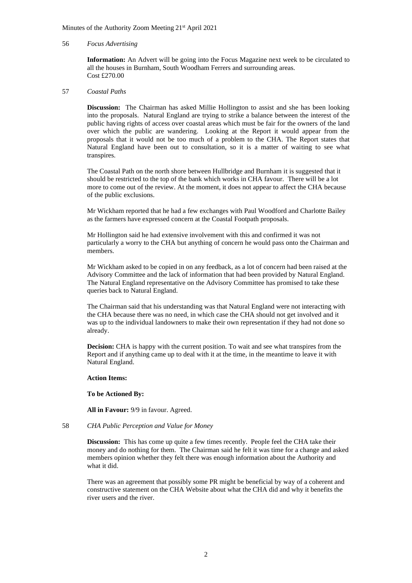### 56 *Focus Advertising*

**Information:** An Advert will be going into the Focus Magazine next week to be circulated to all the houses in Burnham, South Woodham Ferrers and surrounding areas. Cost £270.00

## 57 *Coastal Paths*

**Discussion:** The Chairman has asked Millie Hollington to assist and she has been looking into the proposals. Natural England are trying to strike a balance between the interest of the public having rights of access over coastal areas which must be fair for the owners of the land over which the public are wandering. Looking at the Report it would appear from the proposals that it would not be too much of a problem to the CHA. The Report states that Natural England have been out to consultation, so it is a matter of waiting to see what transpires.

The Coastal Path on the north shore between Hullbridge and Burnham it is suggested that it should be restricted to the top of the bank which works in CHA favour. There will be a lot more to come out of the review. At the moment, it does not appear to affect the CHA because of the public exclusions.

Mr Wickham reported that he had a few exchanges with Paul Woodford and Charlotte Bailey as the farmers have expressed concern at the Coastal Footpath proposals.

Mr Hollington said he had extensive involvement with this and confirmed it was not particularly a worry to the CHA but anything of concern he would pass onto the Chairman and members.

Mr Wickham asked to be copied in on any feedback, as a lot of concern had been raised at the Advisory Committee and the lack of information that had been provided by Natural England. The Natural England representative on the Advisory Committee has promised to take these queries back to Natural England.

The Chairman said that his understanding was that Natural England were not interacting with the CHA because there was no need, in which case the CHA should not get involved and it was up to the individual landowners to make their own representation if they had not done so already.

**Decision:** CHA is happy with the current position. To wait and see what transpires from the Report and if anything came up to deal with it at the time, in the meantime to leave it with Natural England.

#### **Action Items:**

**To be Actioned By:**

**All in Favour:** 9/9 in favour. Agreed.

## 58 *CHA Public Perception and Value for Money*

**Discussion:** This has come up quite a few times recently. People feel the CHA take their money and do nothing for them. The Chairman said he felt it was time for a change and asked members opinion whether they felt there was enough information about the Authority and what it did.

There was an agreement that possibly some PR might be beneficial by way of a coherent and constructive statement on the CHA Website about what the CHA did and why it benefits the river users and the river.